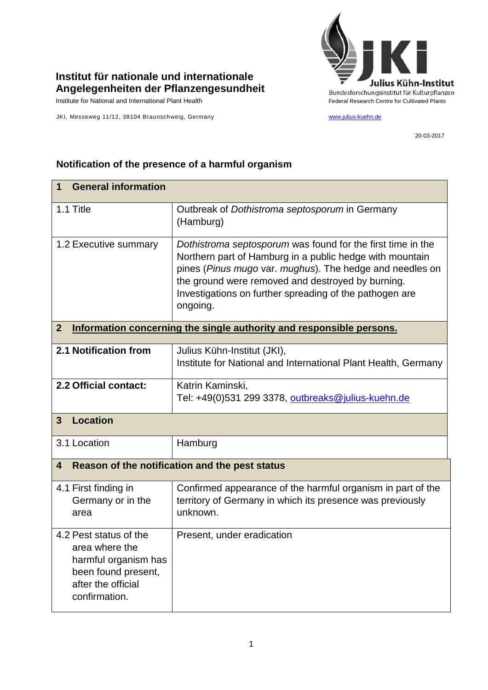

## **Institut für nationale und internationale Angelegenheiten der Pflanzengesundheit**

JKI, Messeweg 11/12, 38104 Braunschweig, Germany [www.julius-kuehn.de](http://www.julius-kuehn.de/)

20-03-2017

| <b>General information</b><br>1                                                                                                |                                                                                                                                                                                                                                                                                                                 |  |
|--------------------------------------------------------------------------------------------------------------------------------|-----------------------------------------------------------------------------------------------------------------------------------------------------------------------------------------------------------------------------------------------------------------------------------------------------------------|--|
| 1.1 Title                                                                                                                      | Outbreak of Dothistroma septosporum in Germany<br>(Hamburg)                                                                                                                                                                                                                                                     |  |
| 1.2 Executive summary                                                                                                          | Dothistroma septosporum was found for the first time in the<br>Northern part of Hamburg in a public hedge with mountain<br>pines (Pinus mugo var. mughus). The hedge and needles on<br>the ground were removed and destroyed by burning.<br>Investigations on further spreading of the pathogen are<br>ongoing. |  |
| Information concerning the single authority and responsible persons.<br>$\overline{2}$                                         |                                                                                                                                                                                                                                                                                                                 |  |
| 2.1 Notification from                                                                                                          | Julius Kühn-Institut (JKI),<br>Institute for National and International Plant Health, Germany                                                                                                                                                                                                                   |  |
| 2.2 Official contact:                                                                                                          | Katrin Kaminski,<br>Tel: +49(0)531 299 3378, outbreaks@julius-kuehn.de                                                                                                                                                                                                                                          |  |
| <b>Location</b><br>$\mathbf{3}$                                                                                                |                                                                                                                                                                                                                                                                                                                 |  |
| 3.1 Location                                                                                                                   | Hamburg                                                                                                                                                                                                                                                                                                         |  |
| Reason of the notification and the pest status<br>4                                                                            |                                                                                                                                                                                                                                                                                                                 |  |
| 4.1 First finding in<br>Germany or in the<br>area                                                                              | Confirmed appearance of the harmful organism in part of the<br>territory of Germany in which its presence was previously<br>unknown.                                                                                                                                                                            |  |
| 4.2 Pest status of the<br>area where the<br>harmful organism has<br>been found present,<br>after the official<br>confirmation. | Present, under eradication                                                                                                                                                                                                                                                                                      |  |

## **Notification of the presence of a harmful organism**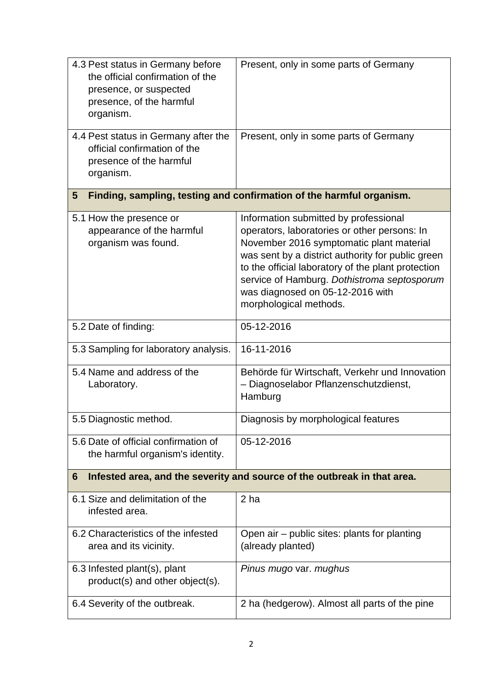| 4.3 Pest status in Germany before<br>the official confirmation of the<br>presence, or suspected<br>presence, of the harmful<br>organism. | Present, only in some parts of Germany                                                                                                                                                                                                                                                                                                                    |  |
|------------------------------------------------------------------------------------------------------------------------------------------|-----------------------------------------------------------------------------------------------------------------------------------------------------------------------------------------------------------------------------------------------------------------------------------------------------------------------------------------------------------|--|
| 4.4 Pest status in Germany after the<br>official confirmation of the<br>presence of the harmful<br>organism.                             | Present, only in some parts of Germany                                                                                                                                                                                                                                                                                                                    |  |
| Finding, sampling, testing and confirmation of the harmful organism.<br>5                                                                |                                                                                                                                                                                                                                                                                                                                                           |  |
| 5.1 How the presence or<br>appearance of the harmful<br>organism was found.                                                              | Information submitted by professional<br>operators, laboratories or other persons: In<br>November 2016 symptomatic plant material<br>was sent by a district authority for public green<br>to the official laboratory of the plant protection<br>service of Hamburg. Dothistroma septosporum<br>was diagnosed on 05-12-2016 with<br>morphological methods. |  |
| 5.2 Date of finding:                                                                                                                     | 05-12-2016                                                                                                                                                                                                                                                                                                                                                |  |
| 5.3 Sampling for laboratory analysis.                                                                                                    | 16-11-2016                                                                                                                                                                                                                                                                                                                                                |  |
| 5.4 Name and address of the<br>Laboratory.                                                                                               | Behörde für Wirtschaft, Verkehr und Innovation<br>- Diagnoselabor Pflanzenschutzdienst,<br>Hamburg                                                                                                                                                                                                                                                        |  |
| 5.5 Diagnostic method.                                                                                                                   | Diagnosis by morphological features                                                                                                                                                                                                                                                                                                                       |  |
| 5.6 Date of official confirmation of<br>the harmful organism's identity.                                                                 | 05-12-2016                                                                                                                                                                                                                                                                                                                                                |  |
| Infested area, and the severity and source of the outbreak in that area.<br>6                                                            |                                                                                                                                                                                                                                                                                                                                                           |  |
| 6.1 Size and delimitation of the<br>infested area.                                                                                       | 2 ha                                                                                                                                                                                                                                                                                                                                                      |  |
| 6.2 Characteristics of the infested<br>area and its vicinity.                                                                            | Open air – public sites: plants for planting<br>(already planted)                                                                                                                                                                                                                                                                                         |  |
| 6.3 Infested plant(s), plant<br>product(s) and other object(s).                                                                          | Pinus mugo var. mughus                                                                                                                                                                                                                                                                                                                                    |  |
| 6.4 Severity of the outbreak.                                                                                                            | 2 ha (hedgerow). Almost all parts of the pine                                                                                                                                                                                                                                                                                                             |  |